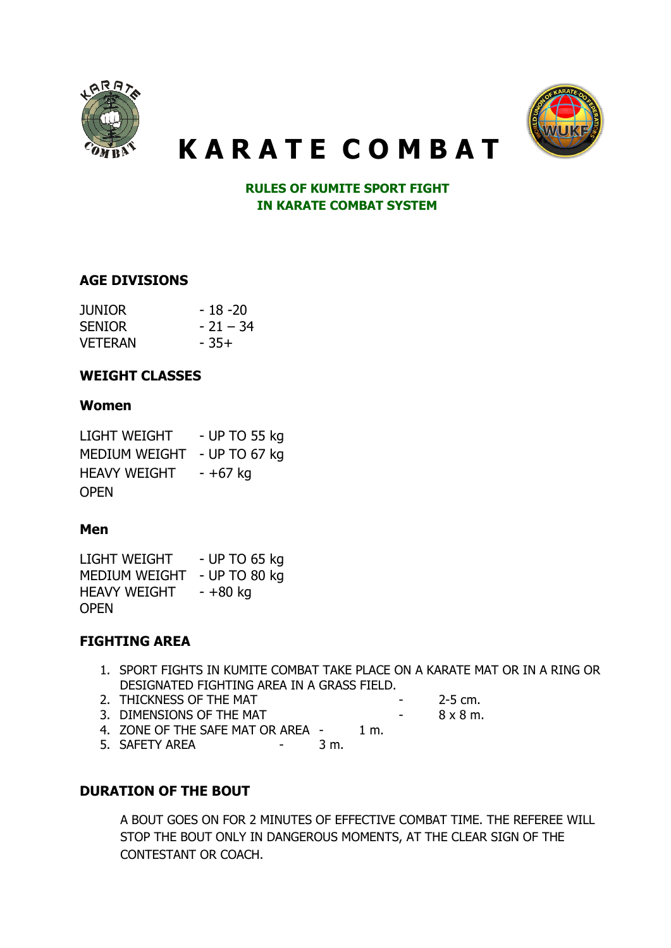



# K A R A T E C O M B A T

RULES OF KUMITE SPORT FIGHT IN KARATE COMBAT SYSTEM

## AGE DIVISIONS

| JUNIOR         | - 18 -20   |
|----------------|------------|
| <b>SENIOR</b>  | $-21 - 34$ |
| <b>VETERAN</b> | - 35+      |

## WEIGHT CLASSES

#### Women

| <b>LIGHT WEIGHT</b>  | - UP TO 55 kg |
|----------------------|---------------|
| <b>MEDIUM WEIGHT</b> | - UP TO 67 kg |
| <b>HEAVY WEIGHT</b>  | - +67 kg      |
| <b>OPEN</b>          |               |

#### Men

LIGHT WEIGHT - UP TO 65 kg MEDIUM WEIGHT - UP TO 80 kg HEAVY WEIGHT - +80 kg OPEN

#### FIGHTING AREA

- 1. SPORT FIGHTS IN KUMITE COMBAT TAKE PLACE ON A KARATE MAT OR IN A RING OR DESIGNATED FIGHTING AREA IN A GRASS FIELD.
- 2. THICKNESS OF THE MAT **-** 2-5 cm.
- 3. DIMENSIONS OF THE MAT  $-$  8 x 8 m.
	-
- 4. ZONE OF THE SAFE MAT OR AREA 1 m.<br>5. SAFETY AREA 3 m.
- 5. SAFETY AREA 300 -

# DURATION OF THE BOUT

A BOUT GOES ON FOR 2 MINUTES OF EFFECTIVE COMBAT TIME. THE REFEREE WILL STOP THE BOUT ONLY IN DANGEROUS MOMENTS, AT THE CLEAR SIGN OF THE CONTESTANT OR COACH.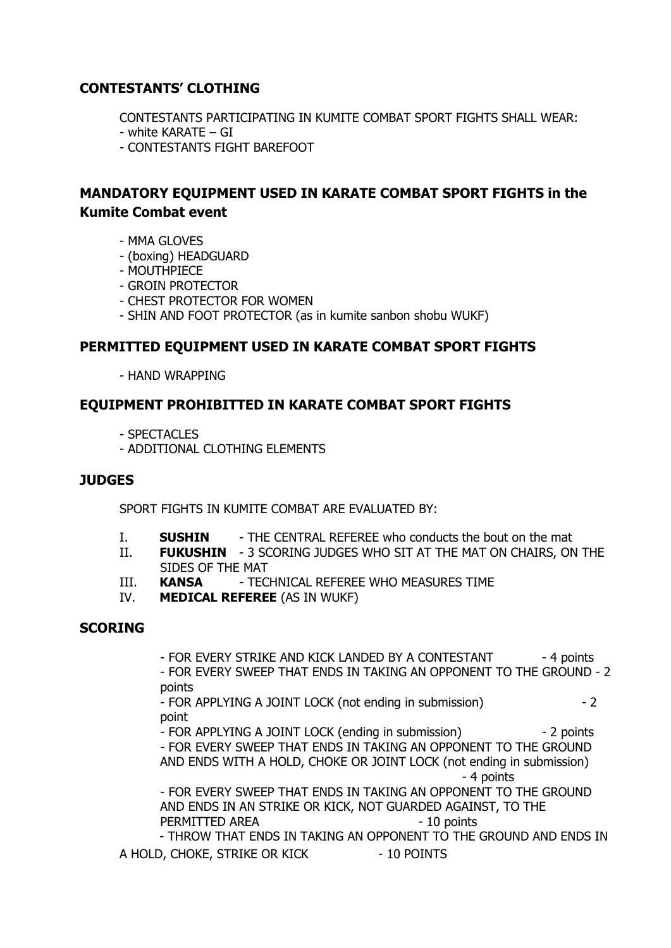# CONTESTANTS' CLOTHING

CONTESTANTS PARTICIPATING IN KUMITE COMBAT SPORT FIGHTS SHALL WEAR:

- white KARATE GI
- CONTESTANTS FIGHT BAREFOOT

# MANDATORY EQUIPMENT USED IN KARATE COMBAT SPORT FIGHTS in the Kumite Combat event

- MMA GLOVES
- (boxing) HEADGUARD
- MOUTHPIECE
- GROIN PROTECTOR
- CHEST PROTECTOR FOR WOMEN
- SHIN AND FOOT PROTECTOR (as in kumite sanbon shobu WUKF)

## PERMITTED EQUIPMENT USED IN KARATE COMBAT SPORT FIGHTS

- HAND WRAPPING

## EQUIPMENT PROHIBITTED IN KARATE COMBAT SPORT FIGHTS

- SPECTACLES
- ADDITIONAL CLOTHING ELEMENTS

#### **JUDGES**

SPORT FIGHTS IN KUMITE COMBAT ARE EVALUATED BY:

- I. SUSHIN THE CENTRAL REFEREE who conducts the bout on the mat
- II. FUKUSHIN 3 SCORING JUDGES WHO SIT AT THE MAT ON CHAIRS, ON THE SIDES OF THE MAT
- III. KANSA TECHNICAL REFEREE WHO MEASURES TIME
- IV. MEDICAL REFEREE (AS IN WUKF)

#### **SCORING**

- FOR EVERY STRIKE AND KICK LANDED BY A CONTESTANT - 4 points - FOR EVERY SWEEP THAT ENDS IN TAKING AN OPPONENT TO THE GROUND - 2 points

- FOR APPLYING A JOINT LOCK (not ending in submission) - 2 point

- FOR APPLYING A JOINT LOCK (ending in submission) - 2 points - FOR EVERY SWEEP THAT ENDS IN TAKING AN OPPONENT TO THE GROUND AND ENDS WITH A HOLD, CHOKE OR JOINT LOCK (not ending in submission) - 4 points

- FOR EVERY SWEEP THAT ENDS IN TAKING AN OPPONENT TO THE GROUND AND ENDS IN AN STRIKE OR KICK, NOT GUARDED AGAINST, TO THE PERMITTED AREA - 10 points

- THROW THAT ENDS IN TAKING AN OPPONENT TO THE GROUND AND ENDS IN A HOLD, CHOKE, STRIKE OR KICK - 10 POINTS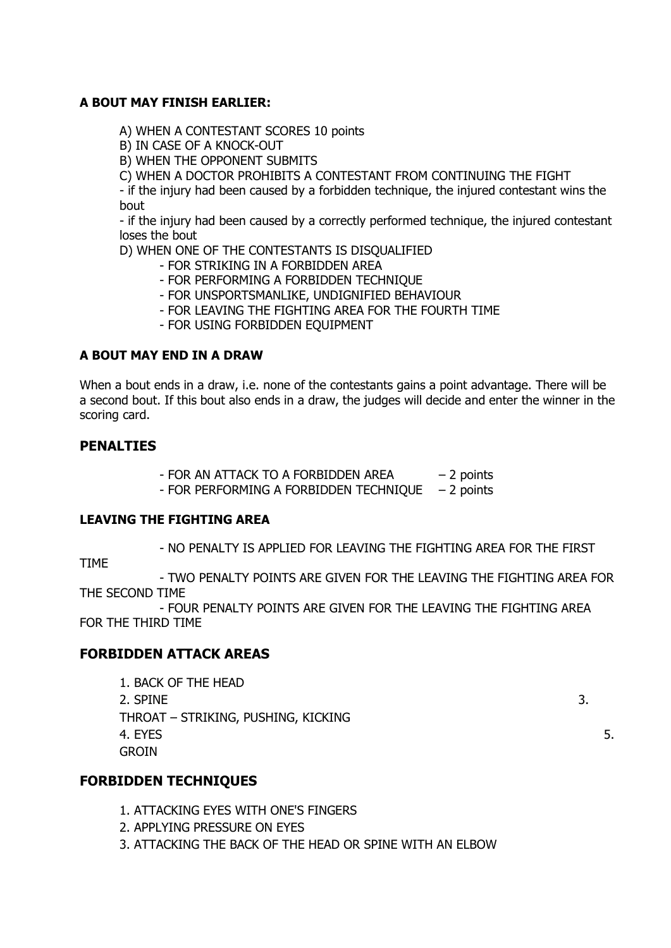#### A BOUT MAY FINISH EARLIER:

A) WHEN A CONTESTANT SCORES 10 points

B) IN CASE OF A KNOCK-OUT

B) WHEN THE OPPONENT SUBMITS

C) WHEN A DOCTOR PROHIBITS A CONTESTANT FROM CONTINUING THE FIGHT

- if the injury had been caused by a forbidden technique, the injured contestant wins the bout

- if the injury had been caused by a correctly performed technique, the injured contestant loses the bout

D) WHEN ONE OF THE CONTESTANTS IS DISQUALIFIED

- FOR STRIKING IN A FORBIDDEN AREA
- FOR PERFORMING A FORBIDDEN TECHNIQUE
- FOR UNSPORTSMANLIKE, UNDIGNIFIED BEHAVIOUR
- FOR LEAVING THE FIGHTING AREA FOR THE FOURTH TIME
- FOR USING FORBIDDEN EQUIPMENT

#### A BOUT MAY END IN A DRAW

When a bout ends in a draw, i.e. none of the contestants gains a point advantage. There will be a second bout. If this bout also ends in a draw, the judges will decide and enter the winner in the scoring card.

## PENALTIES

- FOR AN ATTACK TO A FORBIDDEN AREA – 2 points - FOR PERFORMING A FORBIDDEN TECHNIQUE – 2 points

#### LEAVING THE FIGHTING AREA

- NO PENALTY IS APPLIED FOR LEAVING THE FIGHTING AREA FOR THE FIRST

TIME

- TWO PENALTY POINTS ARE GIVEN FOR THE LEAVING THE FIGHTING AREA FOR THE SECOND TIME

- FOUR PENALTY POINTS ARE GIVEN FOR THE LEAVING THE FIGHTING AREA FOR THE THIRD TIME

# FORBIDDEN ATTACK AREAS

1. BACK OF THE HEAD  $2.$  SPINE  $3.$ THROAT – STRIKING, PUSHING, KICKING 4. EYES 5. GROIN

# FORBIDDEN TECHNIQUES

- 1. ATTACKING EYES WITH ONE'S FINGERS
- 2. APPLYING PRESSURE ON EYES
- 3. ATTACKING THE BACK OF THE HEAD OR SPINE WITH AN ELBOW